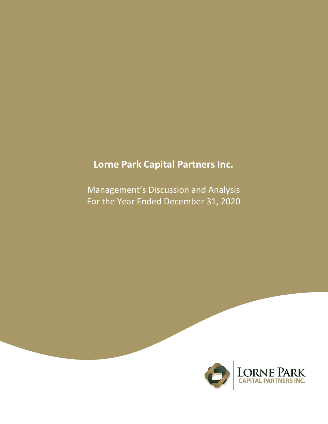# **Lorne Park Capital Partners Inc.**

Management's Discussion and Analysis For the Year Ended December 31, 2020

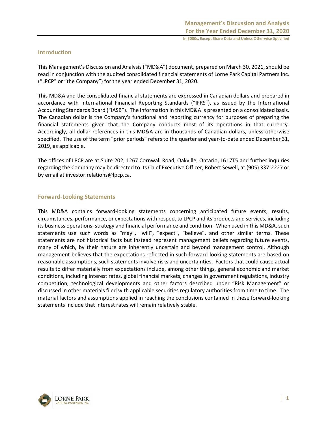# **Introduction**

This Management's Discussion and Analysis ("MD&A") document, prepared on March 30, 2021, should be read in conjunction with the audited consolidated financial statements of Lorne Park Capital Partners Inc. ("LPCP" or "the Company") for the year ended December 31, 2020.

This MD&A and the consolidated financial statements are expressed in Canadian dollars and prepared in accordance with International Financial Reporting Standards ("IFRS"), as issued by the International Accounting Standards Board ("IASB"). The information in this MD&A is presented on a consolidated basis. The Canadian dollar is the Company's functional and reporting currency for purposes of preparing the financial statements given that the Company conducts most of its operations in that currency. Accordingly, all dollar references in this MD&A are in thousands of Canadian dollars, unless otherwise specified. The use of the term "prior periods" refers to the quarter and year-to-date ended December 31, 2019, as applicable.

The offices of LPCP are at Suite 202, 1267 Cornwall Road, Oakville, Ontario, L6J 7T5 and further inquiries regarding the Company may be directed to its Chief Executive Officer, Robert Sewell, at (905) 337-2227 or by email at investor.relations@lpcp.ca.

## **Forward-Looking Statements**

This MD&A contains forward-looking statements concerning anticipated future events, results, circumstances, performance, or expectations with respect to LPCP and its products and services, including its business operations, strategy and financial performance and condition. When used in this MD&A, such statements use such words as "may", "will", "expect", "believe", and other similar terms. These statements are not historical facts but instead represent management beliefs regarding future events, many of which, by their nature are inherently uncertain and beyond management control. Although management believes that the expectations reflected in such forward-looking statements are based on reasonable assumptions, such statements involve risks and uncertainties. Factors that could cause actual results to differ materially from expectations include, among other things, general economic and market conditions, including interest rates, global financial markets, changes in government regulations, industry competition, technological developments and other factors described under "Risk Management" or discussed in other materials filed with applicable securities regulatory authorities from time to time. The material factors and assumptions applied in reaching the conclusions contained in these forward-looking statements include that interest rates will remain relatively stable.

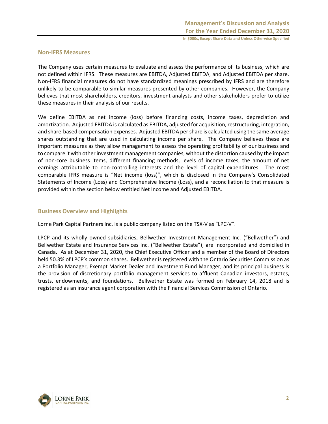## **Non-IFRS Measures**

The Company uses certain measures to evaluate and assess the performance of its business, which are not defined within IFRS. These measures are EBITDA, Adjusted EBITDA, and Adjusted EBITDA per share. Non-IFRS financial measures do not have standardized meanings prescribed by IFRS and are therefore unlikely to be comparable to similar measures presented by other companies. However, the Company believes that most shareholders, creditors, investment analysts and other stakeholders prefer to utilize these measures in their analysis of our results.

We define EBITDA as net income (loss) before financing costs, income taxes, depreciation and amortization. Adjusted EBITDA is calculated as EBITDA, adjusted for acquisition, restructuring, integration, and share-based compensation expenses. Adjusted EBITDA per share is calculated using the same average shares outstanding that are used in calculating income per share. The Company believes these are important measures as they allow management to assess the operating profitability of our business and to compare it with other investment management companies, without the distortion caused by the impact of non-core business items, different financing methods, levels of income taxes, the amount of net earnings attributable to non-controlling interests and the level of capital expenditures. The most comparable IFRS measure is "Net income (loss)", which is disclosed in the Company's Consolidated Statements of Income (Loss) and Comprehensive Income (Loss), and a reconciliation to that measure is provided within the section below entitled Net Income and Adjusted EBITDA.

## **Business Overview and Highlights**

Lorne Park Capital Partners Inc. is a public company listed on the TSX-V as "LPC-V".

LPCP and its wholly owned subsidiaries, Bellwether Investment Management Inc. ("Bellwether") and Bellwether Estate and Insurance Services Inc. ("Bellwether Estate"), are incorporated and domiciled in Canada. As at December 31, 2020, the Chief Executive Officer and a member of the Board of Directors held 50.3% of LPCP's common shares. Bellwether is registered with the Ontario Securities Commission as a Portfolio Manager, Exempt Market Dealer and Investment Fund Manager, and its principal business is the provision of discretionary portfolio management services to affluent Canadian investors, estates, trusts, endowments, and foundations. Bellwether Estate was formed on February 14, 2018 and is registered as an insurance agent corporation with the Financial Services Commission of Ontario.

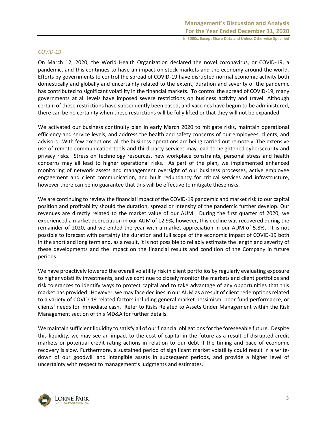#### *COVID-19*

On March 12, 2020, the World Health Organization declared the novel coronavirus, or COVID-19, a pandemic, and this continues to have an impact on stock markets and the economy around the world. Efforts by governments to control the spread of COVID-19 have disrupted normal economic activity both domestically and globally and uncertainty related to the extent, duration and severity of the pandemic has contributed to significant volatility in the financial markets. To control the spread of COVID-19, many governments at all levels have imposed severe restrictions on business activity and travel. Although certain of these restrictions have subsequently been eased, and vaccines have begun to be administered, there can be no certainty when these restrictions will be fully lifted or that they will not be expanded.

We activated our business continuity plan in early March 2020 to mitigate risks, maintain operational efficiency and service levels, and address the health and safety concerns of our employees, clients, and advisors. With few exceptions, all the business operations are being carried out remotely. The extensive use of remote communication tools and third-party services may lead to heightened cybersecurity and privacy risks. Stress on technology resources, new workplace constraints, personal stress and health concerns may all lead to higher operational risks. As part of the plan, we implemented enhanced monitoring of network assets and management oversight of our business processes, active employee engagement and client communication, and built redundancy for critical services and infrastructure, however there can be no guarantee that this will be effective to mitigate these risks.

We are continuing to review the financial impact of the COVID-19 pandemic and market risk to our capital position and profitability should the duration, spread or intensity of the pandemic further develop. Our revenues are directly related to the market value of our AUM. During the first quarter of 2020, we experienced a market depreciation in our AUM of 12.9%, however, this decline was recovered during the remainder of 2020, and we ended the year with a market appreciation in our AUM of 5.8%. It is not possible to forecast with certainty the duration and full scope of the economic impact of COVID-19 both in the short and long term and, as a result, it is not possible to reliably estimate the length and severity of these developments and the impact on the financial results and condition of the Company in future periods.

We have proactively lowered the overall volatility risk in client portfolios by regularly evaluating exposure to higher volatility investments, and we continue to closely monitor the markets and client portfolios and risk tolerances to identify ways to protect capital and to take advantage of any opportunities that this market has provided. However, we may face declines in our AUM as a result of client redemptions related to a variety of COVID-19 related factors including general market pessimism, poor fund performance, or clients' needs for immediate cash. Refer to Risks Related to Assets Under Management within the Risk Management section of this MD&A for further details.

We maintain sufficient liquidity to satisfy all of our financial obligations for the foreseeable future. Despite this liquidity, we may see an impact to the cost of capital in the future as a result of disrupted credit markets or potential credit rating actions in relation to our debt if the timing and pace of economic recovery is slow. Furthermore, a sustained period of significant market volatility could result in a writedown of our goodwill and intangible assets in subsequent periods, and provide a higher level of uncertainty with respect to management's judgments and estimates.

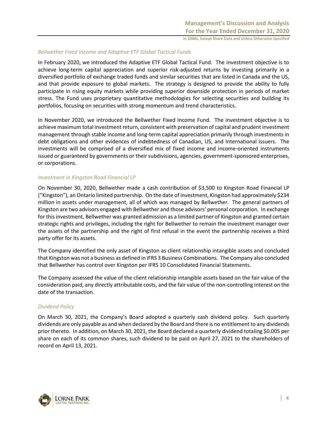#### *Bellwether Fixed Income and Adaptive ETF Global Tactical Funds*

In February 2020, we introduced the Adaptive ETF Global Tactical Fund. The investment objective is to achieve long-term capital appreciation and superior risk-adjusted returns by investing primarily in a diversified portfolio of exchange traded funds and similar securities that are listed in Canada and the US, and that provide exposure to global markets. The strategy is designed to provide the ability to fully participate in rising equity markets while providing superior downside protection in periods of market stress. The Fund uses proprietary quantitative methodologies for selecting securities and building its portfolios, focusing on securities with strong momentum and trend characteristics.

In November 2020, we introduced the Bellwether Fixed Income Fund. The investment objective is to achieve maximum total investment return, consistent with preservation of capital and prudent investment management through stable income and long-term capital appreciation primarily through investments in debt obligations and other evidences of indebtedness of Canadian, US, and International issuers. The investments will be comprised of a diversified mix of fixed income and income-oriented instruments issued or guaranteed by governments or their subdivisions, agencies, government-sponsored enterprises, or corporations.

#### *Investment in Kingston Road Financial LP*

On November 30, 2020, Bellwether made a cash contribution of \$3,500 to Kingston Road Financial LP ("Kingston"), an Ontario limited partnership. On the date of investment, Kingston had approximately \$234 million in assets under management, all of which was managed by Bellwether. The general partners of Kingston are two advisors engaged with Bellwether and those advisors' personal corporation. In exchange for this investment, Bellwether was granted admission as a limited partner of Kingston and granted certain strategic rights and privileges, including the right for Bellwether to remain the investment manager over the assets of the partnership and the right of first refusal in the event the partnership receives a third party offer for its assets.

The Company identified the only asset of Kingston as client relationship intangible assets and concluded that Kingston was not a business as defined in IFRS 3 Business Combinations. The Company also concluded that Bellwether has control over Kingston per IFRS 10 Consolidated Financial Statements.

The Company assessed the value of the client relationship intangible assets based on the fair value of the consideration paid, any directly attributable costs, and the fair value of the non-controlling interest on the date of the transaction.

## *Dividend Policy*

On March 30, 2021, the Company's Board adopted a quarterly cash dividend policy. Such quarterly dividends are only payable as and when declared by the Board and there is no entitlement to any dividends prior thereto. In addition, on March 30, 2021, the Board declared a quarterly dividend totaling \$0.005 per share on each of its common shares, such dividend to be paid on April 27, 2021 to the shareholders of record on April 13, 2021.

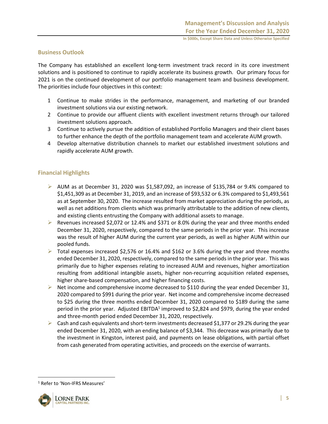## **Business Outlook**

The Company has established an excellent long-term investment track record in its core investment solutions and is positioned to continue to rapidly accelerate its business growth. Our primary focus for 2021 is on the continued development of our portfolio management team and business development. The priorities include four objectives in this context:

- 1 Continue to make strides in the performance, management, and marketing of our branded investment solutions via our existing network.
- 2 Continue to provide our affluent clients with excellent investment returns through our tailored investment solutions approach.
- 3 Continue to actively pursue the addition of established Portfolio Managers and their client bases to further enhance the depth of the portfolio management team and accelerate AUM growth.
- 4 Develop alternative distribution channels to market our established investment solutions and rapidly accelerate AUM growth.

# **Financial Highlights**

- $\triangleright$  AUM as at December 31, 2020 was \$1,587,092, an increase of \$135,784 or 9.4% compared to \$1,451,309 as at December 31, 2019, and an increase of \$93,532 or 6.3% compared to \$1,493,561 as at September 30, 2020. The increase resulted from market appreciation during the periods, as well as net additions from clients which was primarily attributable to the addition of new clients, and existing clients entrusting the Company with additional assets to manage.
- $\triangleright$  Revenues increased \$2,072 or 12.4% and \$371 or 8.0% during the year and three months ended December 31, 2020, respectively, compared to the same periods in the prior year. This increase was the result of higher AUM during the current year periods, as well as higher AUM within our pooled funds.
- $\triangleright$  Total expenses increased \$2,576 or 16.4% and \$162 or 3.6% during the year and three months ended December 31, 2020, respectively, compared to the same periods in the prior year. This was primarily due to higher expenses relating to increased AUM and revenues, higher amortization resulting from additional intangible assets, higher non-recurring acquisition related expenses, higher share-based compensation, and higher financing costs.
- $\triangleright$  Net income and comprehensive income decreased to \$110 during the year ended December 31, 2020 compared to \$991 during the prior year. Net income and comprehensive income decreased to \$25 during the three months ended December 31, 2020 compared to \$189 during the same period in the prior year. Adjusted EBITDA<sup>1</sup> improved to \$2,824 and \$979, during the year ended and three-month period ended December 31, 2020, respectively.
- $\triangleright$  Cash and cash equivalents and short-term investments decreased \$1,377 or 29.2% during the year ended December 31, 2020, with an ending balance of \$3,344. This decrease was primarily due to the investment in Kingston, interest paid, and payments on lease obligations, with partial offset from cash generated from operating activities, and proceeds on the exercise of warrants.

<sup>&</sup>lt;sup>1</sup> Refer to 'Non-IFRS Measures'

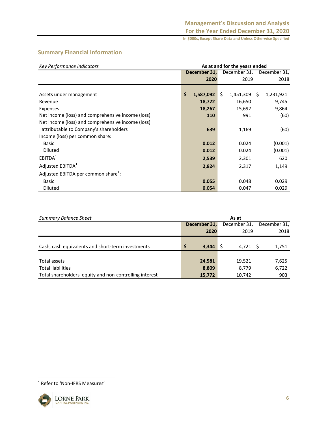# **Summary Financial Information**

| Key Performance Indicators                        | As at and for the years ended |              |    |              |                |              |
|---------------------------------------------------|-------------------------------|--------------|----|--------------|----------------|--------------|
|                                                   |                               | December 31, |    | December 31, |                | December 31, |
|                                                   |                               | 2020         |    | 2019         |                | 2018         |
|                                                   |                               |              |    |              |                |              |
| Assets under management                           | \$                            | 1,587,092    | Ŝ. | 1,451,309    | $\ddot{\zeta}$ | 1,231,921    |
| Revenue                                           |                               | 18,722       |    | 16,650       |                | 9,745        |
| <b>Expenses</b>                                   |                               | 18,267       |    | 15,692       |                | 9,864        |
| Net income (loss) and comprehensive income (loss) |                               | 110          |    | 991          |                | (60)         |
| Net income (loss) and comprehensive income (loss) |                               |              |    |              |                |              |
| attributable to Company's shareholders            |                               | 639          |    | 1,169        |                | (60)         |
| Income (loss) per common share:                   |                               |              |    |              |                |              |
| Basic                                             |                               | 0.012        |    | 0.024        |                | (0.001)      |
| <b>Diluted</b>                                    |                               | 0.012        |    | 0.024        |                | (0.001)      |
| EBITDA <sup>1</sup>                               |                               | 2,539        |    | 2,301        |                | 620          |
| Adjusted EBITDA <sup>1</sup>                      |                               | 2,824        |    | 2,317        |                | 1,149        |
| Adjusted EBITDA per common share <sup>1</sup> :   |                               |              |    |              |                |              |
| <b>Basic</b>                                      |                               | 0.055        |    | 0.048        |                | 0.029        |
| <b>Diluted</b>                                    |                               | 0.054        |    | 0.047        |                | 0.029        |

| <b>Summary Balance Sheet</b>                            | As at |              |              |              |  |  |
|---------------------------------------------------------|-------|--------------|--------------|--------------|--|--|
|                                                         |       | December 31, | December 31, | December 31, |  |  |
|                                                         |       | 2020         | 2019         | 2018         |  |  |
|                                                         |       |              |              |              |  |  |
| Cash, cash equivalents and short-term investments       | S     | 3,344        | 4,721 S      | 1,751        |  |  |
|                                                         |       |              |              |              |  |  |
| Total assets                                            |       | 24,581       | 19,521       | 7,625        |  |  |
| <b>Total liabilities</b>                                |       | 8,809        | 8,779        | 6,722        |  |  |
| Total shareholders' equity and non-controlling interest |       | 15,772       | 10,742       | 903          |  |  |

<sup>1</sup> Refer to 'Non-IFRS Measures'

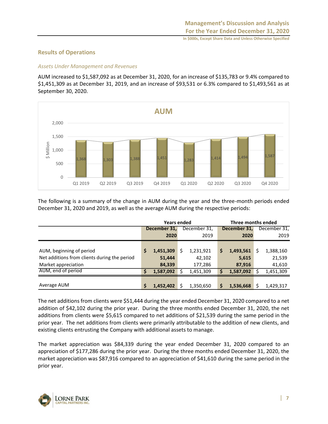# **Results of Operations**

# *Assets Under Management and Revenues*

AUM increased to \$1,587,092 as at December 31, 2020, for an increase of \$135,783 or 9.4% compared to \$1,451,309 as at December 31, 2019, and an increase of \$93,531 or 6.3% compared to \$1,493,561 as at September 30, 2020.



The following is a summary of the change in AUM during the year and the three-month periods ended December 31, 2020 and 2019, as well as the average AUM during the respective periods:

|                                              |              | <b>Years ended</b> |    |              | Three months ended |              |  |              |  |  |
|----------------------------------------------|--------------|--------------------|----|--------------|--------------------|--------------|--|--------------|--|--|
|                                              | December 31, |                    |    | December 31, |                    | December 31, |  | December 31, |  |  |
|                                              |              | 2020               |    | 2019         |                    | 2020         |  | 2019         |  |  |
|                                              |              |                    |    |              |                    |              |  |              |  |  |
| AUM, beginning of period                     | S            | 1,451,309          | \$ | 1,231,921    | \$                 | 1,493,561    |  | 1,388,160    |  |  |
| Net additions from clients during the period |              | 51,444             |    | 42,102       |                    | 5,615        |  | 21,539       |  |  |
| Market appreciation                          |              | 84,339             |    | 177,286      |                    | 87,916       |  | 41,610       |  |  |
| AUM, end of period                           | Ś            | 1,587,092          |    | 1,451,309    | S                  | 1,587,092    |  | 1,451,309    |  |  |
|                                              |              |                    |    |              |                    |              |  |              |  |  |
| Average AUM                                  | Ś            | 1,452,402          | Ś  | 1,350,650    | \$                 | 1,536,668    |  | 1,429,317    |  |  |

The net additions from clients were \$51,444 during the year ended December 31, 2020 compared to a net addition of \$42,102 during the prior year. During the three months ended December 31, 2020, the net additions from clients were \$5,615 compared to net additions of \$21,539 during the same period in the prior year. The net additions from clients were primarily attributable to the addition of new clients, and existing clients entrusting the Company with additional assets to manage.

The market appreciation was \$84,339 during the year ended December 31, 2020 compared to an appreciation of \$177,286 during the prior year. During the three months ended December 31, 2020, the market appreciation was \$87,916 compared to an appreciation of \$41,610 during the same period in the prior year.

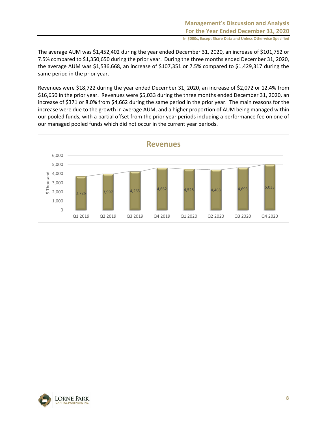The average AUM was \$1,452,402 during the year ended December 31, 2020, an increase of \$101,752 or 7.5% compared to \$1,350,650 during the prior year. During the three months ended December 31, 2020, the average AUM was \$1,536,668, an increase of \$107,351 or 7.5% compared to \$1,429,317 during the same period in the prior year.

Revenues were \$18,722 during the year ended December 31, 2020, an increase of \$2,072 or 12.4% from \$16,650 in the prior year. Revenues were \$5,033 during the three months ended December 31, 2020, an increase of \$371 or 8.0% from \$4,662 during the same period in the prior year. The main reasons for the increase were due to the growth in average AUM, and a higher proportion of AUM being managed within our pooled funds, with a partial offset from the prior year periods including a performance fee on one of our managed pooled funds which did not occur in the current year periods.



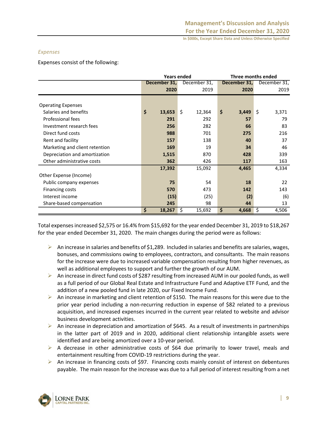## *Expenses*

Expenses consist of the following:

|                                |              | <b>Years ended</b> | <b>Three months ended</b> |              |  |  |  |
|--------------------------------|--------------|--------------------|---------------------------|--------------|--|--|--|
|                                | December 31, | December 31,       | December 31,              | December 31, |  |  |  |
|                                | 2020         | 2019               | 2020                      | 2019         |  |  |  |
|                                |              |                    |                           |              |  |  |  |
| <b>Operating Expenses</b>      |              |                    |                           |              |  |  |  |
| Salaries and benefits          | \$<br>13,653 | \$<br>12,364       | \$<br>3,449               | \$<br>3,371  |  |  |  |
| Professional fees              | 291          | 292                | 57                        | 79           |  |  |  |
| Investment research fees       | 256          | 282                | 66                        | 83           |  |  |  |
| Direct fund costs              | 988          | 701                | 275                       | 216          |  |  |  |
| Rent and facility              | 157          | 138                | 40                        | 37           |  |  |  |
| Marketing and client retention | 169          | 19                 | 34                        | 46           |  |  |  |
| Depreciation and amortization  | 1,515        | 870                | 428                       | 339          |  |  |  |
| Other administrative costs     | 362          | 426                | 117                       | 163          |  |  |  |
|                                | 17,392       | 15,092             | 4,465                     | 4,334        |  |  |  |
| Other Expense (Income)         |              |                    |                           |              |  |  |  |
| Public company expenses        | 75           | 54                 | 18                        | 22           |  |  |  |
| Financing costs                | 570          | 473                | 142                       | 143          |  |  |  |
| Interest income                | (15)         | (25)               | (2)                       | (6)          |  |  |  |
| Share-based compensation       | 245          | 98                 | 44                        | 13           |  |  |  |
|                                | \$<br>18,267 | \$<br>15,692       | \$<br>4,668               | \$<br>4,506  |  |  |  |

Total expenses increased \$2,575 or 16.4% from \$15,692 for the year ended December 31, 2019 to \$18,267 for the year ended December 31, 2020. The main changes during the period were as follows:

- $\triangleright$  An increase in salaries and benefits of \$1,289. Included in salaries and benefits are salaries, wages, bonuses, and commissions owing to employees, contractors, and consultants. The main reasons for the increase were due to increased variable compensation resulting from higher revenues, as well as additional employees to support and further the growth of our AUM.
- ➢ An increase in direct fund costs of \$287 resulting from increased AUM in our pooled funds, as well as a full period of our Global Real Estate and Infrastructure Fund and Adaptive ETF Fund, and the addition of a new pooled fund in late 2020, our Fixed Income Fund.
- $\triangleright$  An increase in marketing and client retention of \$150. The main reasons for this were due to the prior year period including a non-recurring reduction in expense of \$82 related to a previous acquisition, and increased expenses incurred in the current year related to website and advisor business development activities.
- $\triangleright$  An increase in depreciation and amortization of \$645. As a result of investments in partnerships in the latter part of 2019 and in 2020, additional client relationship intangible assets were identified and are being amortized over a 10-year period.
- ➢ A decrease in other administrative costs of \$64 due primarily to lower travel, meals and entertainment resulting from COVID-19 restrictions during the year.
- $\triangleright$  An increase in financing costs of \$97. Financing costs mainly consist of interest on debentures payable. The main reason for the increase was due to a full period of interest resulting from a net

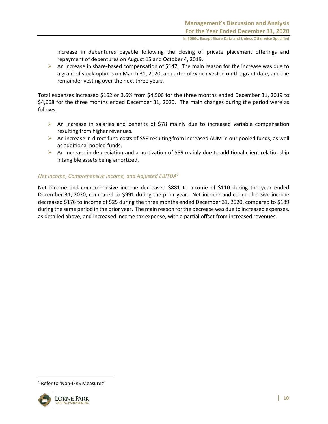increase in debentures payable following the closing of private placement offerings and repayment of debentures on August 15 and October 4, 2019.

 $\triangleright$  An increase in share-based compensation of \$147. The main reason for the increase was due to a grant of stock options on March 31, 2020, a quarter of which vested on the grant date, and the remainder vesting over the next three years.

Total expenses increased \$162 or 3.6% from \$4,506 for the three months ended December 31, 2019 to \$4,668 for the three months ended December 31, 2020. The main changes during the period were as follows:

- $\triangleright$  An increase in salaries and benefits of \$78 mainly due to increased variable compensation resulting from higher revenues.
- ➢ An increase in direct fund costs of \$59 resulting from increased AUM in our pooled funds, as well as additional pooled funds.
- $\triangleright$  An increase in depreciation and amortization of \$89 mainly due to additional client relationship intangible assets being amortized.

## *Net Income, Comprehensive Income, and Adjusted EBITDA<sup>1</sup>*

Net income and comprehensive income decreased \$881 to income of \$110 during the year ended December 31, 2020, compared to \$991 during the prior year. Net income and comprehensive income decreased \$176 to income of \$25 during the three months ended December 31, 2020, compared to \$189 during the same period in the prior year. The main reason for the decrease was due to increased expenses, as detailed above, and increased income tax expense, with a partial offset from increased revenues.

<sup>1</sup> Refer to 'Non-IFRS Measures'

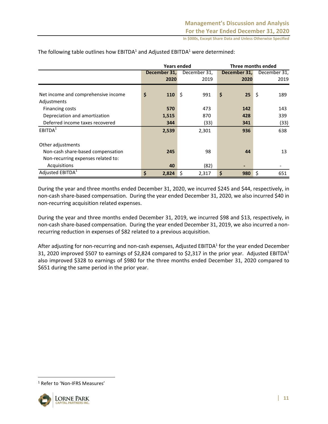|                                     |              | <b>Years ended</b> | Three months ended |              |  |  |  |
|-------------------------------------|--------------|--------------------|--------------------|--------------|--|--|--|
|                                     | December 31, | December 31,       | December 31,       | December 31, |  |  |  |
|                                     | 2020         | 2019               | 2020               | 2019         |  |  |  |
|                                     |              |                    |                    |              |  |  |  |
| Net income and comprehensive income | \$<br>110    | \$<br>991          | \$<br>25           | \$<br>189    |  |  |  |
| Adjustments                         |              |                    |                    |              |  |  |  |
| Financing costs                     | 570          | 473                | 142                | 143          |  |  |  |
| Depreciation and amortization       | 1,515        | 870                | 428                | 339          |  |  |  |
| Deferred income taxes recovered     | 344          | (33)               | 341                | (33)         |  |  |  |
| EBITDA <sup>1</sup>                 | 2,539        | 2,301              | 936                | 638          |  |  |  |
|                                     |              |                    |                    |              |  |  |  |
| Other adjustments                   |              |                    |                    |              |  |  |  |
| Non-cash share-based compensation   | 245          | 98                 | 44                 | 13           |  |  |  |
| Non-recurring expenses related to:  |              |                    |                    |              |  |  |  |
| Acquisitions                        | 40           | (82)               |                    |              |  |  |  |
| Adjusted EBITDA <sup>1</sup>        | \$<br>2,824  | \$<br>2,317        | \$<br>980          | \$<br>651    |  |  |  |

The following table outlines how  $EBITDA<sup>1</sup>$  and Adjusted  $EBITDA<sup>1</sup>$  were determined:

During the year and three months ended December 31, 2020, we incurred \$245 and \$44, respectively, in non-cash share-based compensation. During the year ended December 31, 2020, we also incurred \$40 in non-recurring acquisition related expenses.

During the year and three months ended December 31, 2019, we incurred \$98 and \$13, respectively, in non-cash share-based compensation. During the year ended December 31, 2019, we also incurred a nonrecurring reduction in expenses of \$82 related to a previous acquisition.

After adjusting for non-recurring and non-cash expenses, Adjusted EBITDA<sup>1</sup> for the year ended December 31, 2020 improved \$507 to earnings of \$2,824 compared to \$2,317 in the prior year. Adjusted EBITDA<sup>1</sup> also improved \$328 to earnings of \$980 for the three months ended December 31, 2020 compared to \$651 during the same period in the prior year.

<sup>1</sup> Refer to 'Non-IFRS Measures'

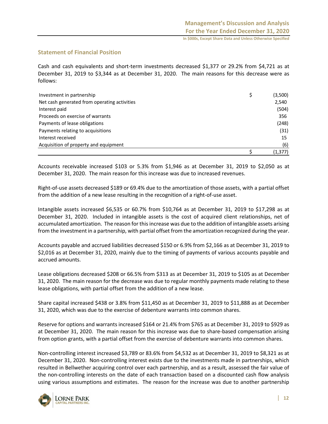# **Statement of Financial Position**

Cash and cash equivalents and short-term investments decreased \$1,377 or 29.2% from \$4,721 as at December 31, 2019 to \$3,344 as at December 31, 2020. The main reasons for this decrease were as follows:

| Investment in partnership                    | (3,500)  |
|----------------------------------------------|----------|
| Net cash generated from operating activities | 2,540    |
| Interest paid                                | (504)    |
| Proceeds on exercise of warrants             | 356      |
| Payments of lease obligations                | (248)    |
| Payments relating to acquisitions            | (31)     |
| Interest received                            | 15       |
| Acquisition of property and equipment        | (6)      |
|                                              | (1, 377) |

Accounts receivable increased \$103 or 5.3% from \$1,946 as at December 31, 2019 to \$2,050 as at December 31, 2020. The main reason for this increase was due to increased revenues.

Right-of-use assets decreased \$189 or 69.4% due to the amortization of those assets, with a partial offset from the addition of a new lease resulting in the recognition of a right-of-use asset.

Intangible assets increased \$6,535 or 60.7% from \$10,764 as at December 31, 2019 to \$17,298 as at December 31, 2020. Included in intangible assets is the cost of acquired client relationships, net of accumulated amortization. The reason for this increase was due to the addition of intangible assets arising from the investment in a partnership, with partial offset from the amortization recognized during the year.

Accounts payable and accrued liabilities decreased \$150 or 6.9% from \$2,166 as at December 31, 2019 to \$2,016 as at December 31, 2020, mainly due to the timing of payments of various accounts payable and accrued amounts.

Lease obligations decreased \$208 or 66.5% from \$313 as at December 31, 2019 to \$105 as at December 31, 2020. The main reason for the decrease was due to regular monthly payments made relating to these lease obligations, with partial offset from the addition of a new lease.

Share capital increased \$438 or 3.8% from \$11,450 as at December 31, 2019 to \$11,888 as at December 31, 2020, which was due to the exercise of debenture warrants into common shares.

Reserve for options and warrants increased \$164 or 21.4% from \$765 as at December 31, 2019 to \$929 as at December 31, 2020. The main reason for this increase was due to share-based compensation arising from option grants, with a partial offset from the exercise of debenture warrants into common shares.

Non-controlling interest increased \$3,789 or 83.6% from \$4,532 as at December 31, 2019 to \$8,321 as at December 31, 2020. Non-controlling interest exists due to the investments made in partnerships, which resulted in Bellwether acquiring control over each partnership, and as a result, assessed the fair value of the non-controlling interests on the date of each transaction based on a discounted cash flow analysis using various assumptions and estimates. The reason for the increase was due to another partnership

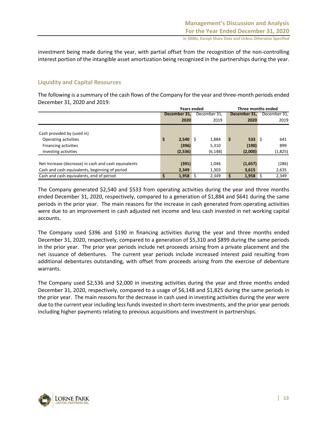investment being made during the year, with partial offset from the recognition of the non-controlling interest portion of the intangible asset amortization being recognized in the partnerships during the year.

# **Liquidity and Capital Resources**

The following is a summary of the cash flows of the Company for the year and three-month periods ended December 31, 2020 and 2019:

|                                                      | Years ended      |              | Three months ended      |              |  |  |  |  |
|------------------------------------------------------|------------------|--------------|-------------------------|--------------|--|--|--|--|
|                                                      | December 31.     | December 31, | December 31.            | December 31, |  |  |  |  |
|                                                      | 2020             | 2019         | 2020                    | 2019         |  |  |  |  |
|                                                      |                  |              |                         |              |  |  |  |  |
| Cash provided by (used in)                           |                  |              |                         |              |  |  |  |  |
| Operating activities                                 | \$<br>$2,540$ \$ | 1,884        | \$<br>$533 \quad \circ$ | 641          |  |  |  |  |
| Financing activities                                 | (396)            | 5,310        | (190)                   | 899          |  |  |  |  |
| Investing activities                                 | (2,536)          | (6, 148)     | (2,000)                 | (1,825)      |  |  |  |  |
|                                                      |                  |              |                         |              |  |  |  |  |
| Net increase (decrease) in cash and cash equivalents | (391)            | 1,046        | (1,657)                 | (286)        |  |  |  |  |
| Cash and cash equivalents, beginning of period       | 2.349            | 1.303        | 3,615                   | 2,635        |  |  |  |  |
| Cash and cash equivalents, end of period             | $1,958$ \$       | 2,349        | 1,958                   | 2,349        |  |  |  |  |

The Company generated \$2,540 and \$533 from operating activities during the year and three months ended December 31, 2020, respectively, compared to a generation of \$1,884 and \$641 during the same periods in the prior year. The main reasons for the increase in cash generated from operating activities were due to an improvement in cash adjusted net income and less cash invested in net working capital accounts.

The Company used \$396 and \$190 in financing activities during the year and three months ended December 31, 2020, respectively, compared to a generation of \$5,310 and \$899 during the same periods in the prior year. The prior year periods include net proceeds arising from a private placement and the net issuance of debentures. The current year periods include increased interest paid resulting from additional debentures outstanding, with offset from proceeds arising from the exercise of debenture warrants.

The Company used \$2,536 and \$2,000 in investing activities during the year and three months ended December 31, 2020, respectively, compared to a usage of \$6,148 and \$1,825 during the same periods in the prior year. The main reasons for the decrease in cash used in investing activities during the year were due to the current year including less funds invested in short-term investments, and the prior year periods including higher payments relating to previous acquisitions and investment in partnerships.

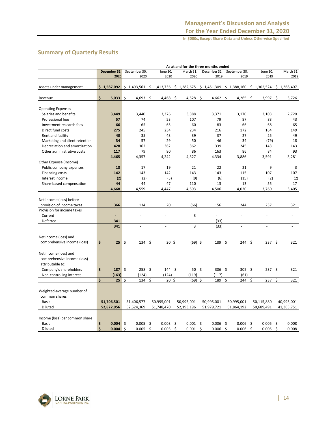# **Summary of Quarterly Results**

|                                | As at and for the three months ended |              |    |                   |    |                          |    |                    |     |              |         |               |                   |     |             |
|--------------------------------|--------------------------------------|--------------|----|-------------------|----|--------------------------|----|--------------------|-----|--------------|---------|---------------|-------------------|-----|-------------|
|                                |                                      | December 31, |    | September 30,     |    | June 30,                 |    | March 31,          |     | December 31, |         | September 30, | June 30,          |     | March 31,   |
|                                |                                      | 2020         |    | 2020              |    | 2020                     |    | 2020               |     | 2019         |         | 2019          | 2019              |     | 2019        |
|                                |                                      |              |    |                   |    |                          |    |                    |     |              |         |               |                   |     |             |
| Assets under management        |                                      | \$1,587,092  |    | \$1,493,561       |    | \$1,413,736              |    | \$1,282,675        |     | \$1,451,309  |         | \$1,388,160   | \$1,302,524       |     | \$1,368,407 |
|                                |                                      |              |    |                   |    |                          |    |                    |     |              |         |               |                   |     |             |
| Revenue                        | \$                                   | 5,033        | \$ | 4,693             | \$ | 4,468                    | \$ | 4,528              | -\$ | 4,662        | \$      | 4,265         | \$<br>3,997       | \$  | 3,726       |
| <b>Operating Expenses</b>      |                                      |              |    |                   |    |                          |    |                    |     |              |         |               |                   |     |             |
| Salaries and benefits          |                                      | 3,449        |    | 3,440             |    | 3,376                    |    | 3,388              |     | 3,371        |         | 3,170         | 3,103             |     | 2,720       |
| Professional fees              |                                      | 57           |    | 74                |    | 53                       |    | 107                |     | 79           |         | 87            | 83                |     | 43          |
| Investment research fees       |                                      | 66           |    | 65                |    | 65                       |    | 60                 |     | 83           |         | 66            | 68                |     | 65          |
| Direct fund costs              |                                      | 275          |    | 245               |    | 234                      |    | 234                |     | 216          |         | 172           | 164               |     | 149         |
| Rent and facility              |                                      | 40           |    | 35                |    | 43                       |    | 39                 |     | 37           |         | 27            | 25                |     | 49          |
| Marketing and client retention |                                      | 34           |    | 57                |    | 29                       |    | 50                 |     | 46           |         | 34            | (79)              |     | 18          |
| Depreciation and amortization  |                                      | 428          |    | 362               |    | 362                      |    | 362                |     | 339          |         | 245           | 143               |     | 143         |
| Other administrative costs     |                                      | 117          |    | 79                |    | 80                       |    | 86                 |     | 163          |         | 86            | 84                |     | 93          |
|                                |                                      | 4,465        |    | 4,357             |    | 4,242                    |    | 4,327              |     | 4,334        |         | 3,886         | 3,591             |     | 3,281       |
| Other Expense (Income)         |                                      |              |    |                   |    |                          |    |                    |     |              |         |               |                   |     |             |
| Public company expenses        |                                      | 18           |    | 17                |    | 19                       |    | 21                 |     | 22           |         | 21            | 9                 |     | 3           |
| <b>Financing costs</b>         |                                      | 142          |    | 143               |    | 142                      |    | 143                |     | 143          |         | 115           | 107               |     | 107         |
| Interest income                |                                      | (2)          |    | (2)               |    | (3)                      |    | (9)                |     | (6)          |         | (15)          | (2)               |     | (2)         |
| Share-based compensation       |                                      | 44           |    | 44                |    | 47                       |    | 110                |     | 13           |         | 13            | 55                |     | 17          |
|                                |                                      | 4,668        |    | 4,559             |    | 4,447                    |    | 4,593              |     | 4,506        |         | 4,020         | 3,760             |     | 3.405       |
|                                |                                      |              |    |                   |    |                          |    |                    |     |              |         |               |                   |     |             |
| Net income (loss) before       |                                      |              |    |                   |    |                          |    |                    |     |              |         |               |                   |     |             |
| provision of income taxes      |                                      | 366          |    | 134               |    | 20                       |    | (66)               |     | 156          |         | 244           | 237               |     | 321         |
| Provision for income taxes     |                                      |              |    |                   |    |                          |    |                    |     |              |         |               |                   |     |             |
| Current                        |                                      | ٠            |    | ÷                 |    |                          |    | 3                  |     | ÷,           |         |               | L.                |     |             |
| Deferred                       |                                      | 341          |    |                   |    | ÷                        |    |                    |     | (33)         |         | ÷             | ۳                 |     |             |
|                                |                                      | 341          |    | $\sim$            |    | $\overline{\phantom{a}}$ |    | 3                  |     | (33)         |         | $\sim$        | ä,                |     | ÷.          |
|                                |                                      |              |    |                   |    |                          |    |                    |     |              |         |               |                   |     |             |
| Net income (loss) and          |                                      |              |    |                   |    |                          |    |                    |     |              |         |               |                   |     |             |
| comprehensive income (loss)    | \$                                   | $25 \div$    |    | $134 \; \text{S}$ |    | $20 \;$ \$               |    | $(69)$ \$          |     | 189          | Ŝ.      | 244 \$        | 237               | \$. | 321         |
|                                |                                      |              |    |                   |    |                          |    |                    |     |              |         |               |                   |     |             |
| Net income (loss) and          |                                      |              |    |                   |    |                          |    |                    |     |              |         |               |                   |     |             |
| comprehensive income (loss)    |                                      |              |    |                   |    |                          |    |                    |     |              |         |               |                   |     |             |
| attributable to:               |                                      |              |    |                   |    |                          |    |                    |     |              |         |               |                   |     |             |
| Company's shareholders         | \$                                   | 187          | \$ | $258 \;$ \$       |    | $144 \; \text{S}$        |    | 50 \$              |     | $306$ \$     |         | $305 \quad $$ | $237 \frac{2}{3}$ |     | 321         |
| Non-controlling interest       | Ś                                    | (163)        | \$ | (124)<br>134      | \$ | (124)<br>$20 \;$ \$      |    | (119)<br>$(69)$ \$ |     | (117)        | \$      | (61)<br>244   | \$                | \$  | 321         |
|                                |                                      | 25           |    |                   |    |                          |    |                    |     | 189          |         |               | 237               |     |             |
| Weighted-average number of     |                                      |              |    |                   |    |                          |    |                    |     |              |         |               |                   |     |             |
| common shares                  |                                      |              |    |                   |    |                          |    |                    |     |              |         |               |                   |     |             |
| <b>Basic</b>                   |                                      | 51,706,501   |    | 51,406,577        |    | 50,995,001               |    | 50,995,001         |     | 50,995,001   |         | 50,995,001    | 50,115,880        |     | 40,995,001  |
| <b>Diluted</b>                 |                                      | 52,822,956   |    | 52,524,369        |    | 51,748,470               |    | 52,193,196         |     | 51,979,721   |         | 51,864,192    | 50,689,491        |     | 41,363,751  |
|                                |                                      |              |    |                   |    |                          |    |                    |     |              |         |               |                   |     |             |
| Income (loss) per common share |                                      |              |    |                   |    |                          |    |                    |     |              |         |               |                   |     |             |
| <b>Basic</b>                   | \$                                   | 0.004        | \$ | 0.005             | \$ | 0.003                    | \$ | $0.001 \quad$ \$   |     | 0.006        | $\zeta$ | 0.006         | \$<br>0.005       | \$  | 0.008       |
| Diluted                        | \$                                   | 0.004        | \$ | 0.005             | \$ | 0.003                    | Ś  | 0.001              | Ś   | 0.006        | \$      | 0.006         | \$<br>0.005       | \$  | 0.008       |

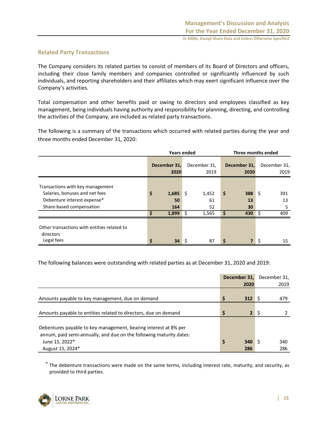## **Related Party Transactions**

The Company considers its related parties to consist of members of its Board of Directors and officers, including their close family members and companies controlled or significantly influenced by such individuals, and reporting shareholders and their affiliates which may exert significant influence over the Company's activities.

Total compensation and other benefits paid or owing to directors and employees classified as key management, being individuals having authority and responsibility for planning, directing, and controlling the activities of the Company, are included as related party transactions.

The following is a summary of the transactions which occurred with related parties during the year and three months ended December 31, 2020:

|                                                               |    | <b>Years ended</b>   |      | Three months ended   |    |                |    |                      |  |  |                      |
|---------------------------------------------------------------|----|----------------------|------|----------------------|----|----------------|----|----------------------|--|--|----------------------|
|                                                               |    | December 31,<br>2020 |      | December 31,<br>2019 |    |                |    | December 31,<br>2020 |  |  | December 31,<br>2019 |
| Transactions with key management                              |    |                      |      |                      |    |                |    |                      |  |  |                      |
| Salaries, bonuses and net fees<br>Debenture interest expense* | \$ | 1,685<br>50          | l \$ | 1,452<br>61          | \$ | 388<br>13      | S  | 391<br>13            |  |  |                      |
| Share-based compensation                                      |    | 164                  |      | 52                   |    | 30             |    | 5                    |  |  |                      |
|                                                               | Ś  | 1,899                | l \$ | 1,565                | S  | $430 \pm 5$    |    | 409                  |  |  |                      |
| Other transactions with entities related to<br>directors      |    |                      |      |                      |    |                |    |                      |  |  |                      |
| Legal fees                                                    | \$ | 34                   |      | 87                   | \$ | $\overline{7}$ | \$ | 15                   |  |  |                      |

The following balances were outstanding with related parties as at December 31, 2020 and 2019:

|                                                                                                                                                           | December 31, |                | December 31, |
|-----------------------------------------------------------------------------------------------------------------------------------------------------------|--------------|----------------|--------------|
|                                                                                                                                                           | 2020         |                | 2019         |
| Amounts payable to key management, due on demand                                                                                                          | Ś<br>312     |                | 479          |
| Amounts payable to entities related to directors, due on demand                                                                                           | Ś            | 2 <sup>1</sup> |              |
| Debentures payable to key management, bearing interest at 8% per<br>annum, paid semi-annually, and due on the following maturity dates:<br>June 15, 2022* | \$<br>340    |                | 340          |
| August 15, 2024*                                                                                                                                          | 286          |                | 286          |

 $*$  The debenture transactions were made on the same terms, including interest rate, maturity, and security, as provided to third parties.

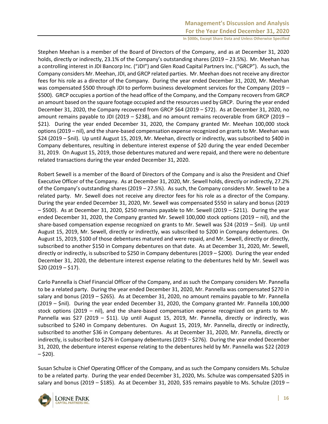Stephen Meehan is a member of the Board of Directors of the Company, and as at December 31, 2020 holds, directly or indirectly, 23.1% of the Company's outstanding shares (2019 – 23.5%). Mr. Meehan has a controlling interest in JDI Bancorp Inc. ("JDI") and Glen Road Capital Partners Inc. ("GRCP"). As such, the Company considers Mr. Meehan, JDI, and GRCP related parties. Mr. Meehan does not receive any director fees for his role as a director of the Company. During the year ended December 31, 2020, Mr. Meehan was compensated \$500 through JDI to perform business development services for the Company (2019 – \$500). GRCP occupies a portion of the head office of the Company, and the Company recovers from GRCP an amount based on the square footage occupied and the resources used by GRCP. During the year ended December 31, 2020, the Company recovered from GRCP \$64 (2019 – \$72). As at December 31, 2020, no amount remains payable to JDI (2019 – \$238), and no amount remains recoverable from GRCP (2019 – \$21). During the year ended December 31, 2020, the Company granted Mr. Meehan 100,000 stock options (2019 – nil), and the share-based compensation expense recognized on grants to Mr. Meehan was \$24 (2019 – \$nil). Up until August 15, 2019, Mr. Meehan, directly or indirectly, was subscribed to \$400 in Company debentures, resulting in debenture interest expense of \$20 during the year ended December 31, 2019. On August 15, 2019, those debentures matured and were repaid, and there were no debenture related transactions during the year ended December 31, 2020.

Robert Sewell is a member of the Board of Directors of the Company and is also the President and Chief Executive Officer of the Company. As at December 31, 2020, Mr. Sewell holds, directly or indirectly, 27.2% of the Company's outstanding shares (2019 – 27.5%). As such, the Company considers Mr. Sewell to be a related party. Mr. Sewell does not receive any director fees for his role as a director of the Company. During the year ended December 31, 2020, Mr. Sewell was compensated \$550 in salary and bonus (2019  $-$  \$500). As at December 31, 2020, \$250 remains payable to Mr. Sewell (2019  $-$  \$211). During the year ended December 31, 2020, the Company granted Mr. Sewell 100,000 stock options (2019 – nil), and the share-based compensation expense recognized on grants to Mr. Sewell was \$24 (2019 – \$nil). Up until August 15, 2019, Mr. Sewell, directly or indirectly, was subscribed to \$200 in Company debentures. On August 15, 2019, \$100 of those debentures matured and were repaid, and Mr. Sewell, directly or directly, subscribed to another \$150 in Company debentures on that date. As at December 31, 2020, Mr. Sewell, directly or indirectly, is subscribed to \$250 in Company debentures (2019 – \$200). During the year ended December 31, 2020, the debenture interest expense relating to the debentures held by Mr. Sewell was  $$20 (2019 - $17).$ 

Carlo Pannella is Chief Financial Officer of the Company, and as such the Company considers Mr. Pannella to be a related party. During the year ended December 31, 2020, Mr. Pannella was compensated \$270 in salary and bonus (2019 – \$265). As at December 31, 2020, no amount remains payable to Mr. Pannella (2019 – \$nil). During the year ended December 31, 2020, the Company granted Mr. Pannella 100,000 stock options (2019 – nil), and the share-based compensation expense recognized on grants to Mr. Pannella was \$27 (2019 – \$11). Up until August 15, 2019, Mr. Pannella, directly or indirectly, was subscribed to \$240 in Company debentures. On August 15, 2019, Mr. Pannella, directly or indirectly, subscribed to another \$36 in Company debentures. As at December 31, 2020, Mr. Pannella, directly or indirectly, is subscribed to \$276 in Company debentures (2019 – \$276). During the year ended December 31, 2020, the debenture interest expense relating to the debentures held by Mr. Pannella was \$22 (2019  $-$  \$20).

Susan Schulze is Chief Operating Officer of the Company, and as such the Company considers Ms. Schulze to be a related party. During the year ended December 31, 2020, Ms. Schulze was compensated \$205 in salary and bonus (2019 – \$185). As at December 31, 2020, \$35 remains payable to Ms. Schulze (2019 –

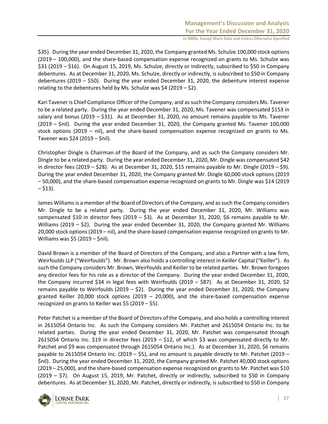\$35). During the year ended December 31, 2020, the Company granted Ms. Schulze 100,000 stock options (2019 – 100,000), and the share-based compensation expense recognized on grants to Ms. Schulze was \$31 (2019 – \$16). On August 15, 2019, Ms. Schulze, directly or indirectly, subscribed to \$50 in Company debentures. As at December 31, 2020, Ms. Schulze, directly or indirectly, is subscribed to \$50 in Company debentures (2019 – \$50). During the year ended December 31, 2020, the debenture interest expense relating to the debentures held by Ms. Schulze was \$4 (2019  $-$  \$2).

Kari Tavener is Chief Compliance Officer of the Company, and as such the Company considers Ms. Tavener to be a related party. During the year ended December 31, 2020, Ms. Tavener was compensated \$153 in salary and bonus (2019 – \$31). As at December 31, 2020, no amount remains payable to Ms. Tavener (2019 – \$nil). During the year ended December 31, 2020, the Company granted Ms. Tavener 100,000 stock options (2019 – nil), and the share-based compensation expense recognized on grants to Ms. Tavener was \$24 (2019 – \$nil).

Christopher Dingle is Chairman of the Board of the Company, and as such the Company considers Mr. Dingle to be a related party. During the year ended December 31, 2020, Mr. Dingle was compensated \$42 in director fees (2019 – \$28). As at December 31, 2020, \$15 remains payable to Mr. Dingle (2019 – \$9). During the year ended December 31, 2020, the Company granted Mr. Dingle 60,000 stock options (2019 – 50,000), and the share-based compensation expense recognized on grants to Mr. Dingle was \$14 (2019  $-$  \$13).

James Williams is a member of the Board of Directors of the Company, and as such the Company considers Mr. Dingle to be a related party. During the year ended December 31, 2020, Mr. Williams was compensated \$10 in director fees (2019 – \$3). As at December 31, 2020, \$6 remains payable to Mr. Williams (2019 – \$2). During the year ended December 31, 2020, the Company granted Mr. Williams 20,000 stock options (2019 – nil), and the share-based compensation expense recognized on grants to Mr. Williams was \$5 (2019 – \$nil).

David Brown is a member of the Board of Directors of the Company, and also a Partner with a law firm, Weirfoulds LLP ("Weirfoulds"). Mr. Brown also holds a controlling interest in Keiller Capital ("Keiller"). As such the Company considers Mr. Brown, Weirfoulds and Keiller to be related parties. Mr. Brown foregoes any director fees for his role as a director of the Company. During the year ended December 31, 2020, the Company incurred \$34 in legal fees with Weirfoulds (2019 – \$87). As at December 31, 2020, \$2 remains payable to Weirfoulds (2019 – \$2). During the year ended December 31, 2020, the Company granted Keiller 20,000 stock options (2019 – 20,000), and the share-based compensation expense recognized on grants to Keiller was \$5 (2019 – \$5).

Peter Patchet is a member of the Board of Directors of the Company, and also holds a controlling interest in 2615054 Ontario Inc. As such the Company considers Mr. Patchet and 2615054 Ontario Inc. to be related parties. During the year ended December 31, 2020, Mr. Patchet was compensated through 2615054 Ontario Inc. \$19 in director fees (2019 – \$12, of which \$3 was compensated directly to Mr. Patchet and \$9 was compensated through 2615054 Ontario Inc.). As at December 31, 2020, \$6 remains payable to 2615054 Ontario Inc. (2019 – \$5), and no amount is payable directly to Mr. Patchet (2019 – \$nil). During the year ended December 31, 2020, the Company granted Mr. Patchet 40,000 stock options (2019 – 25,000), and the share-based compensation expense recognized on grants to Mr. Patchet was \$10 (2019 – \$7). On August 15, 2019, Mr. Patchet, directly or indirectly, subscribed to \$50 in Company debentures. As at December 31, 2020, Mr. Patchet, directly or indirectly, is subscribed to \$50 in Company

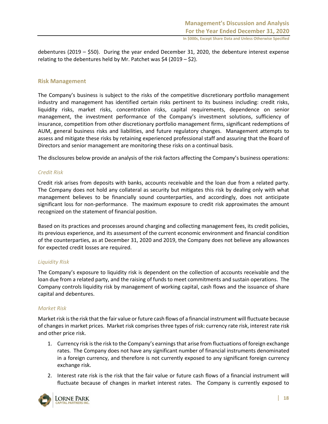debentures (2019 – \$50). During the year ended December 31, 2020, the debenture interest expense relating to the debentures held by Mr. Patchet was  $$4$  (2019 –  $$2$ ).

## **Risk Management**

The Company's business is subject to the risks of the competitive discretionary portfolio management industry and management has identified certain risks pertinent to its business including: credit risks, liquidity risks, market risks, concentration risks, capital requirements, dependence on senior management, the investment performance of the Company's investment solutions, sufficiency of insurance, competition from other discretionary portfolio management firms, significant redemptions of AUM, general business risks and liabilities, and future regulatory changes. Management attempts to assess and mitigate these risks by retaining experienced professional staff and assuring that the Board of Directors and senior management are monitoring these risks on a continual basis.

The disclosures below provide an analysis of the risk factors affecting the Company's business operations:

## *Credit Risk*

Credit risk arises from deposits with banks, accounts receivable and the loan due from a related party. The Company does not hold any collateral as security but mitigates this risk by dealing only with what management believes to be financially sound counterparties, and accordingly, does not anticipate significant loss for non-performance. The maximum exposure to credit risk approximates the amount recognized on the statement of financial position.

Based on its practices and processes around charging and collecting management fees, its credit policies, its previous experience, and its assessment of the current economic environment and financial condition of the counterparties, as at December 31, 2020 and 2019, the Company does not believe any allowances for expected credit losses are required.

## *Liquidity Risk*

The Company's exposure to liquidity risk is dependent on the collection of accounts receivable and the loan due from a related party, and the raising of funds to meet commitments and sustain operations. The Company controls liquidity risk by management of working capital, cash flows and the issuance of share capital and debentures.

## *Market Risk*

Market risk is the risk that the fair value or future cash flows of a financial instrument will fluctuate because of changes in market prices. Market risk comprises three types of risk: currency rate risk, interest rate risk and other price risk.

- 1. Currency risk is the risk to the Company's earnings that arise from fluctuations of foreign exchange rates. The Company does not have any significant number of financial instruments denominated in a foreign currency, and therefore is not currently exposed to any significant foreign currency exchange risk.
- 2. Interest rate risk is the risk that the fair value or future cash flows of a financial instrument will fluctuate because of changes in market interest rates. The Company is currently exposed to

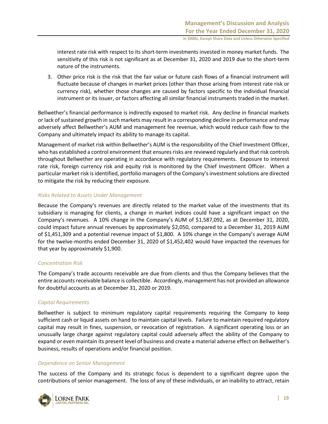interest rate risk with respect to its short-term investments invested in money market funds. The sensitivity of this risk is not significant as at December 31, 2020 and 2019 due to the short-term nature of the instruments.

3. Other price risk is the risk that the fair value or future cash flows of a financial instrument will fluctuate because of changes in market prices (other than those arising from interest rate risk or currency risk), whether those changes are caused by factors specific to the individual financial instrument or its issuer, or factors affecting all similar financial instruments traded in the market.

Bellwether's financial performance is indirectly exposed to market risk. Any decline in financial markets or lack of sustained growth in such markets may result in a corresponding decline in performance and may adversely affect Bellwether's AUM and management fee revenue, which would reduce cash flow to the Company and ultimately impact its ability to manage its capital.

Management of market risk within Bellwether's AUM is the responsibility of the Chief Investment Officer, who has established a control environment that ensures risks are reviewed regularly and that risk controls throughout Bellwether are operating in accordance with regulatory requirements. Exposure to interest rate risk, foreign currency risk and equity risk is monitored by the Chief Investment Officer. When a particular market risk is identified, portfolio managers of the Company's investment solutions are directed to mitigate the risk by reducing their exposure.

## *Risks Related to Assets Under Management*

Because the Company's revenues are directly related to the market value of the investments that its subsidiary is managing for clients, a change in market indices could have a significant impact on the Company's revenues. A 10% change in the Company's AUM of \$1,587,092, as at December 31, 2020, could impact future annual revenues by approximately \$2,050, compared to a December 31, 2019 AUM of \$1,451,309 and a potential revenue impact of \$1,800. A 10% change in the Company's average AUM for the twelve-months ended December 31, 2020 of \$1,452,402 would have impacted the revenues for that year by approximately \$1,900.

## *Concentration Risk*

The Company's trade accounts receivable are due from clients and thus the Company believes that the entire accounts receivable balance is collectible. Accordingly, management has not provided an allowance for doubtful accounts as at December 31, 2020 or 2019.

# *Capital Requirements*

Bellwether is subject to minimum regulatory capital requirements requiring the Company to keep sufficient cash or liquid assets on hand to maintain capital levels. Failure to maintain required regulatory capital may result in fines, suspension, or revocation of registration. A significant operating loss or an unusually large charge against regulatory capital could adversely affect the ability of the Company to expand or even maintain its present level of business and create a material adverse effect on Bellwether's business, results of operations and/or financial position.

## *Dependence on Senior Management*

The success of the Company and its strategic focus is dependent to a significant degree upon the contributions of senior management. The loss of any of these individuals, or an inability to attract, retain

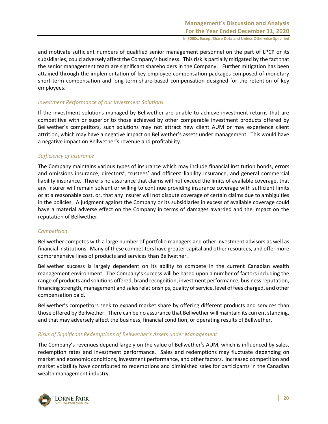and motivate sufficient numbers of qualified senior management personnel on the part of LPCP or its subsidiaries, could adversely affect the Company's business. This risk is partially mitigated by the fact that the senior management team are significant shareholders in the Company. Further mitigation has been attained through the implementation of key employee compensation packages composed of monetary short-term compensation and long-term share-based compensation designed for the retention of key employees.

## *Investment Performance of our Investment Solutions*

If the investment solutions managed by Bellwether are unable to achieve investment returns that are competitive with or superior to those achieved by other comparable investment products offered by Bellwether's competitors, such solutions may not attract new client AUM or may experience client attrition, which may have a negative impact on Bellwether's assets under management. This would have a negative impact on Bellwether's revenue and profitability.

## *Sufficiency of Insurance*

The Company maintains various types of insurance which may include financial institution bonds, errors and omissions insurance, directors', trustees' and officers' liability insurance, and general commercial liability insurance. There is no assurance that claims will not exceed the limits of available coverage, that any insurer will remain solvent or willing to continue providing insurance coverage with sufficient limits or at a reasonable cost, or, that any insurer will not dispute coverage of certain claims due to ambiguities in the policies. A judgment against the Company or its subsidiaries in excess of available coverage could have a material adverse effect on the Company in terms of damages awarded and the impact on the reputation of Bellwether.

## *Competition*

Bellwether competes with a large number of portfolio managers and other investment advisors as well as financial institutions. Many of these competitors have greater capital and other resources, and offer more comprehensive lines of products and services than Bellwether.

Bellwether success is largely dependent on its ability to compete in the current Canadian wealth management environment. The Company's success will be based upon a number of factors including the range of products and solutions offered, brand recognition, investment performance, business reputation, financing strength, management and sales relationships, quality of service, level of fees charged, and other compensation paid.

Bellwether's competitors seek to expand market share by offering different products and services than those offered by Bellwether. There can be no assurance that Bellwether will maintain its current standing, and that may adversely affect the business, financial condition, or operating results of Bellwether.

## *Risks of Significant Redemptions of Bellwether's Assets under Management*

The Company's revenues depend largely on the value of Bellwether's AUM, which is influenced by sales, redemption rates and investment performance. Sales and redemptions may fluctuate depending on market and economic conditions, investment performance, and other factors. Increased competition and market volatility have contributed to redemptions and diminished sales for participants in the Canadian wealth management industry.